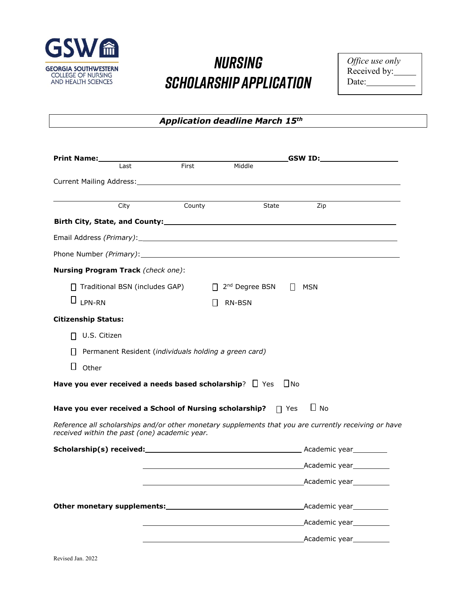

## *Nursing Scholarship Application*

*Office use only*  Received by: Date:

*Application deadline March 15th*

| <b>Print Name:</b>                            |                                  | <b>Example 18</b><br>First |                                                                                                                                                                                                                                      | GSW ID:_______________________                                                                                |
|-----------------------------------------------|----------------------------------|----------------------------|--------------------------------------------------------------------------------------------------------------------------------------------------------------------------------------------------------------------------------------|---------------------------------------------------------------------------------------------------------------|
|                                               | Last                             |                            | Middle                                                                                                                                                                                                                               |                                                                                                               |
|                                               |                                  |                            |                                                                                                                                                                                                                                      |                                                                                                               |
|                                               | City                             | County                     | State                                                                                                                                                                                                                                | Zip                                                                                                           |
|                                               |                                  |                            |                                                                                                                                                                                                                                      |                                                                                                               |
|                                               |                                  |                            |                                                                                                                                                                                                                                      |                                                                                                               |
|                                               |                                  |                            | Phone Number <i>(Primary)</i> : Note that the set of the set of the set of the set of the set of the set of the set of the set of the set of the set of the set of the set of the set of the set of the set of the set of the set of |                                                                                                               |
| Nursing Program Track (check one):            |                                  |                            |                                                                                                                                                                                                                                      |                                                                                                               |
|                                               | □ Traditional BSN (includes GAP) |                            | 2 <sup>nd</sup> Degree BSN<br>$\Box$                                                                                                                                                                                                 | $\Box$<br>MSN                                                                                                 |
| $\Box$ LPN-RN                                 |                                  |                            | $\mathsf{L}$<br><b>RN-BSN</b>                                                                                                                                                                                                        |                                                                                                               |
| <b>Citizenship Status:</b>                    |                                  |                            |                                                                                                                                                                                                                                      |                                                                                                               |
| U.S. Citizen                                  |                                  |                            |                                                                                                                                                                                                                                      |                                                                                                               |
|                                               |                                  |                            | Permanent Resident (individuals holding a green card)                                                                                                                                                                                |                                                                                                               |
| $\Box$<br>Other                               |                                  |                            |                                                                                                                                                                                                                                      |                                                                                                               |
|                                               |                                  |                            | Have you ever received a needs based scholarship? $\Box$ Yes                                                                                                                                                                         | $\Box$ No                                                                                                     |
|                                               |                                  |                            |                                                                                                                                                                                                                                      |                                                                                                               |
|                                               |                                  |                            | Have you ever received a School of Nursing scholarship?                                                                                                                                                                              | $\Box$ No<br>$\Box$ Yes                                                                                       |
| received within the past (one) academic year. |                                  |                            |                                                                                                                                                                                                                                      | Reference all scholarships and/or other monetary supplements that you are currently receiving or have         |
|                                               |                                  |                            |                                                                                                                                                                                                                                      |                                                                                                               |
|                                               |                                  |                            |                                                                                                                                                                                                                                      | Academic year and the Academic year and the Academic year and the Academic year and the Academic year and the |
|                                               |                                  |                            |                                                                                                                                                                                                                                      | Academic year                                                                                                 |
|                                               |                                  |                            | Other monetary supplements:<br><u>Denomination</u>                                                                                                                                                                                   | Academic year                                                                                                 |
|                                               |                                  |                            |                                                                                                                                                                                                                                      | Academic year                                                                                                 |
|                                               |                                  |                            |                                                                                                                                                                                                                                      | Academic year                                                                                                 |